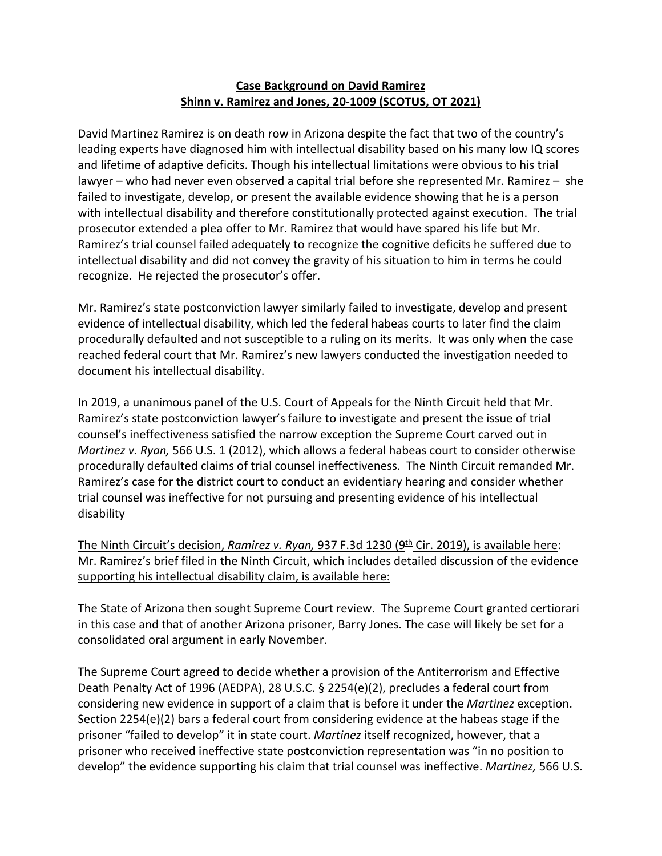## **Case Background on David Ramirez Shinn v. Ramirez and Jones, 20-1009 (SCOTUS, OT 2021)**

David Martinez Ramirez is on death row in Arizona despite the fact that two of the country's leading experts have diagnosed him with intellectual disability based on his many low IQ scores and lifetime of adaptive deficits. Though his intellectual limitations were obvious to his trial lawyer – who had never even observed a capital trial before she represented Mr. Ramirez – she failed to investigate, develop, or present the available evidence showing that he is a person with intellectual disability and therefore constitutionally protected against execution. The trial prosecutor extended a plea offer to Mr. Ramirez that would have spared his life but Mr. Ramirez's trial counsel failed adequately to recognize the cognitive deficits he suffered due to intellectual disability and did not convey the gravity of his situation to him in terms he could recognize. He rejected the prosecutor's offer.

Mr. Ramirez's state postconviction lawyer similarly failed to investigate, develop and present evidence of intellectual disability, which led the federal habeas courts to later find the claim procedurally defaulted and not susceptible to a ruling on its merits. It was only when the case reached federal court that Mr. Ramirez's new lawyers conducted the investigation needed to document his intellectual disability.

In 2019, a unanimous panel of the U.S. Court of Appeals for the Ninth Circuit held that Mr. Ramirez's state postconviction lawyer's failure to investigate and present the issue of trial counsel's ineffectiveness satisfied the narrow exception the Supreme Court carved out in *Martinez v. Ryan,* 566 U.S. 1 (2012), which allows a federal habeas court to consider otherwise procedurally defaulted claims of trial counsel ineffectiveness. The Ninth Circuit remanded Mr. Ramirez's case for the district court to conduct an evidentiary hearing and consider whether trial counsel was ineffective for not pursuing and presenting evidence of his intellectual disability

The Ninth Circuit's decision, *Ramirez v. Ryan*, 937 F.3d 1230 (9<sup>th</sup> Cir. 2019), is available here: Mr. Ramirez's brief filed in the Ninth Circuit, which includes detailed discussion of the evidence supporting his intellectual disability claim, is available here:

The State of Arizona then sought Supreme Court review. The Supreme Court granted certiorari in this case and that of another Arizona prisoner, Barry Jones. The case will likely be set for a consolidated oral argument in early November.

The Supreme Court agreed to decide whether a provision of the Antiterrorism and Effective Death Penalty Act of 1996 (AEDPA), 28 U.S.C. § 2254(e)(2), precludes a federal court from considering new evidence in support of a claim that is before it under the *Martinez* exception. Section 2254(e)(2) bars a federal court from considering evidence at the habeas stage if the prisoner "failed to develop" it in state court. *Martinez* itself recognized, however, that a prisoner who received ineffective state postconviction representation was "in no position to develop" the evidence supporting his claim that trial counsel was ineffective. *Martinez,* 566 U.S.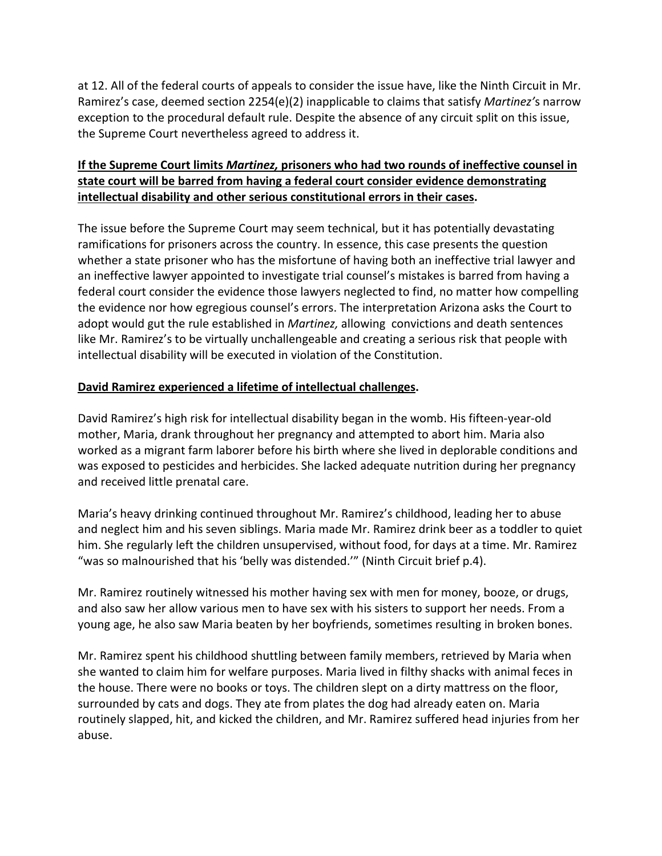at 12. All of the federal courts of appeals to consider the issue have, like the Ninth Circuit in Mr. Ramirez's case, deemed section 2254(e)(2) inapplicable to claims that satisfy *Martinez'*s narrow exception to the procedural default rule. Despite the absence of any circuit split on this issue, the Supreme Court nevertheless agreed to address it.

# **If the Supreme Court limits** *Martinez,* **prisoners who had two rounds of ineffective counsel in state court will be barred from having a federal court consider evidence demonstrating intellectual disability and other serious constitutional errors in their cases.**

The issue before the Supreme Court may seem technical, but it has potentially devastating ramifications for prisoners across the country. In essence, this case presents the question whether a state prisoner who has the misfortune of having both an ineffective trial lawyer and an ineffective lawyer appointed to investigate trial counsel's mistakes is barred from having a federal court consider the evidence those lawyers neglected to find, no matter how compelling the evidence nor how egregious counsel's errors. The interpretation Arizona asks the Court to adopt would gut the rule established in *Martinez,* allowing convictions and death sentences like Mr. Ramirez's to be virtually unchallengeable and creating a serious risk that people with intellectual disability will be executed in violation of the Constitution.

## **David Ramirez experienced a lifetime of intellectual challenges.**

David Ramirez's high risk for intellectual disability began in the womb. His fifteen-year-old mother, Maria, drank throughout her pregnancy and attempted to abort him. Maria also worked as a migrant farm laborer before his birth where she lived in deplorable conditions and was exposed to pesticides and herbicides. She lacked adequate nutrition during her pregnancy and received little prenatal care.

Maria's heavy drinking continued throughout Mr. Ramirez's childhood, leading her to abuse and neglect him and his seven siblings. Maria made Mr. Ramirez drink beer as a toddler to quiet him. She regularly left the children unsupervised, without food, for days at a time. Mr. Ramirez "was so malnourished that his 'belly was distended.'" (Ninth Circuit brief p.4).

Mr. Ramirez routinely witnessed his mother having sex with men for money, booze, or drugs, and also saw her allow various men to have sex with his sisters to support her needs. From a young age, he also saw Maria beaten by her boyfriends, sometimes resulting in broken bones.

Mr. Ramirez spent his childhood shuttling between family members, retrieved by Maria when she wanted to claim him for welfare purposes. Maria lived in filthy shacks with animal feces in the house. There were no books or toys. The children slept on a dirty mattress on the floor, surrounded by cats and dogs. They ate from plates the dog had already eaten on. Maria routinely slapped, hit, and kicked the children, and Mr. Ramirez suffered head injuries from her abuse.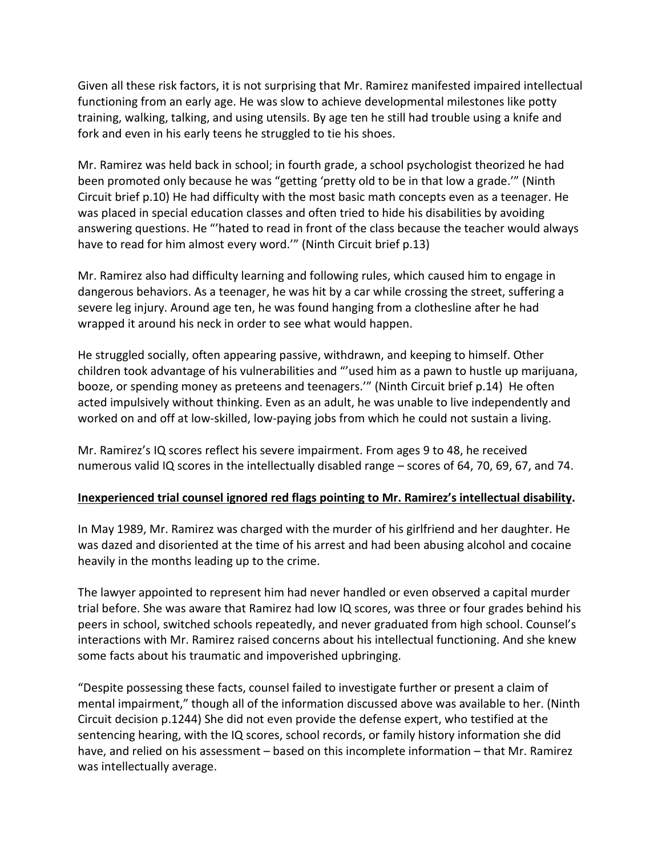Given all these risk factors, it is not surprising that Mr. Ramirez manifested impaired intellectual functioning from an early age. He was slow to achieve developmental milestones like potty training, walking, talking, and using utensils. By age ten he still had trouble using a knife and fork and even in his early teens he struggled to tie his shoes.

Mr. Ramirez was held back in school; in fourth grade, a school psychologist theorized he had been promoted only because he was "getting 'pretty old to be in that low a grade.'" (Ninth Circuit brief p.10) He had difficulty with the most basic math concepts even as a teenager. He was placed in special education classes and often tried to hide his disabilities by avoiding answering questions. He "'hated to read in front of the class because the teacher would always have to read for him almost every word.'" (Ninth Circuit brief p.13)

Mr. Ramirez also had difficulty learning and following rules, which caused him to engage in dangerous behaviors. As a teenager, he was hit by a car while crossing the street, suffering a severe leg injury. Around age ten, he was found hanging from a clothesline after he had wrapped it around his neck in order to see what would happen.

He struggled socially, often appearing passive, withdrawn, and keeping to himself. Other children took advantage of his vulnerabilities and "'used him as a pawn to hustle up marijuana, booze, or spending money as preteens and teenagers.'" (Ninth Circuit brief p.14) He often acted impulsively without thinking. Even as an adult, he was unable to live independently and worked on and off at low-skilled, low-paying jobs from which he could not sustain a living.

Mr. Ramirez's IQ scores reflect his severe impairment. From ages 9 to 48, he received numerous valid IQ scores in the intellectually disabled range – scores of 64, 70, 69, 67, and 74.

## **Inexperienced trial counsel ignored red flags pointing to Mr. Ramirez's intellectual disability.**

In May 1989, Mr. Ramirez was charged with the murder of his girlfriend and her daughter. He was dazed and disoriented at the time of his arrest and had been abusing alcohol and cocaine heavily in the months leading up to the crime.

The lawyer appointed to represent him had never handled or even observed a capital murder trial before. She was aware that Ramirez had low IQ scores, was three or four grades behind his peers in school, switched schools repeatedly, and never graduated from high school. Counsel's interactions with Mr. Ramirez raised concerns about his intellectual functioning. And she knew some facts about his traumatic and impoverished upbringing.

"Despite possessing these facts, counsel failed to investigate further or present a claim of mental impairment," though all of the information discussed above was available to her. (Ninth Circuit decision p.1244) She did not even provide the defense expert, who testified at the sentencing hearing, with the IQ scores, school records, or family history information she did have, and relied on his assessment – based on this incomplete information – that Mr. Ramirez was intellectually average.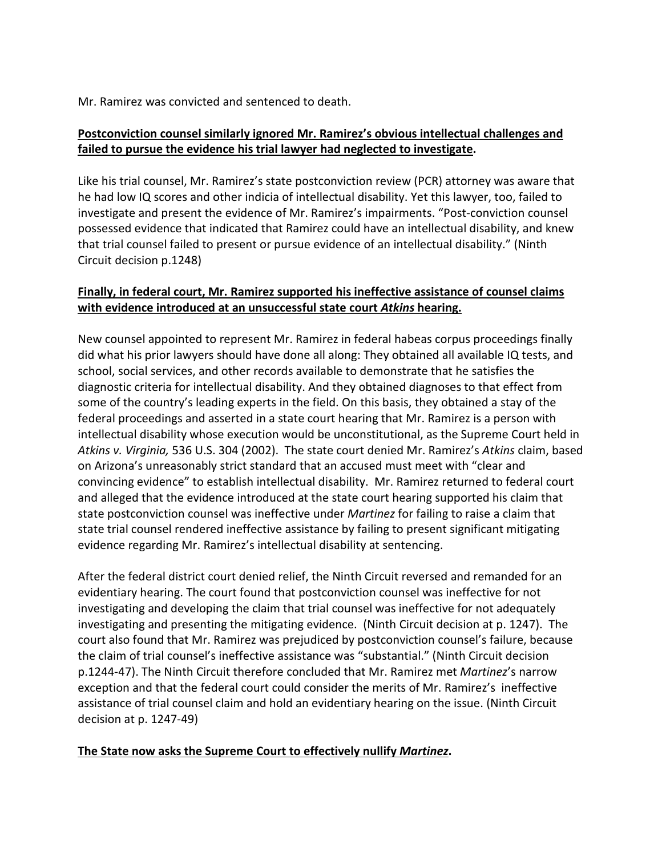Mr. Ramirez was convicted and sentenced to death.

## **Postconviction counsel similarly ignored Mr. Ramirez's obvious intellectual challenges and failed to pursue the evidence his trial lawyer had neglected to investigate.**

Like his trial counsel, Mr. Ramirez's state postconviction review (PCR) attorney was aware that he had low IQ scores and other indicia of intellectual disability. Yet this lawyer, too, failed to investigate and present the evidence of Mr. Ramirez's impairments. "Post-conviction counsel possessed evidence that indicated that Ramirez could have an intellectual disability, and knew that trial counsel failed to present or pursue evidence of an intellectual disability." (Ninth Circuit decision p.1248)

# **Finally, in federal court, Mr. Ramirez supported his ineffective assistance of counsel claims with evidence introduced at an unsuccessful state court** *Atkins* **hearing.**

New counsel appointed to represent Mr. Ramirez in federal habeas corpus proceedings finally did what his prior lawyers should have done all along: They obtained all available IQ tests, and school, social services, and other records available to demonstrate that he satisfies the diagnostic criteria for intellectual disability. And they obtained diagnoses to that effect from some of the country's leading experts in the field. On this basis, they obtained a stay of the federal proceedings and asserted in a state court hearing that Mr. Ramirez is a person with intellectual disability whose execution would be unconstitutional, as the Supreme Court held in *Atkins v. Virginia,* 536 U.S. 304 (2002). The state court denied Mr. Ramirez's *Atkins* claim, based on Arizona's unreasonably strict standard that an accused must meet with "clear and convincing evidence" to establish intellectual disability. Mr. Ramirez returned to federal court and alleged that the evidence introduced at the state court hearing supported his claim that state postconviction counsel was ineffective under *Martinez* for failing to raise a claim that state trial counsel rendered ineffective assistance by failing to present significant mitigating evidence regarding Mr. Ramirez's intellectual disability at sentencing.

After the federal district court denied relief, the Ninth Circuit reversed and remanded for an evidentiary hearing. The court found that postconviction counsel was ineffective for not investigating and developing the claim that trial counsel was ineffective for not adequately investigating and presenting the mitigating evidence. (Ninth Circuit decision at p. 1247). The court also found that Mr. Ramirez was prejudiced by postconviction counsel's failure, because the claim of trial counsel's ineffective assistance was "substantial." (Ninth Circuit decision p.1244-47). The Ninth Circuit therefore concluded that Mr. Ramirez met *Martinez*'s narrow exception and that the federal court could consider the merits of Mr. Ramirez's ineffective assistance of trial counsel claim and hold an evidentiary hearing on the issue. (Ninth Circuit decision at p. 1247-49)

## **The State now asks the Supreme Court to effectively nullify** *Martinez***.**